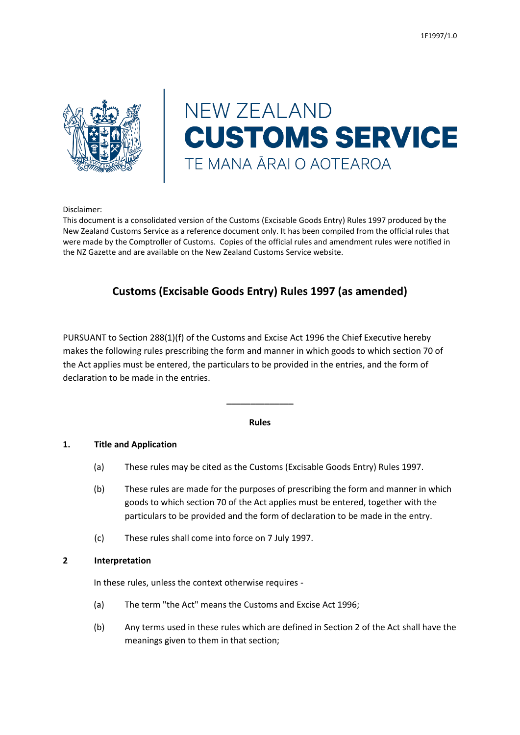

# **NEW ZEALAND CUSTOMS SERVICE** TE MANA ĀRAI O AOTEAROA

Disclaimer:

This document is a consolidated version of the Customs (Excisable Goods Entry) Rules 1997 produced by the New Zealand Customs Service as a reference document only. It has been compiled from the official rules that were made by the Comptroller of Customs. Copies of the official rules and amendment rules were notified in the NZ Gazette and are available on the New Zealand Customs Service website.

# **Customs (Excisable Goods Entry) Rules 1997 (as amended)**

PURSUANT to Section 288(1)(f) of the Customs and Excise Act 1996 the Chief Executive hereby makes the following rules prescribing the form and manner in which goods to which section 70 of the Act applies must be entered, the particulars to be provided in the entries, and the form of declaration to be made in the entries.

#### **Rules**

**\_\_\_\_\_\_\_\_\_\_\_\_\_\_**

#### **1. Title and Application**

- (a) These rules may be cited as the Customs (Excisable Goods Entry) Rules 1997.
- (b) These rules are made for the purposes of prescribing the form and manner in which goods to which section 70 of the Act applies must be entered, together with the particulars to be provided and the form of declaration to be made in the entry.
- (c) These rules shall come into force on 7 July 1997.

#### **2 Interpretation**

In these rules, unless the context otherwise requires -

- (a) The term "the Act" means the Customs and Excise Act 1996;
- (b) Any terms used in these rules which are defined in Section 2 of the Act shall have the meanings given to them in that section;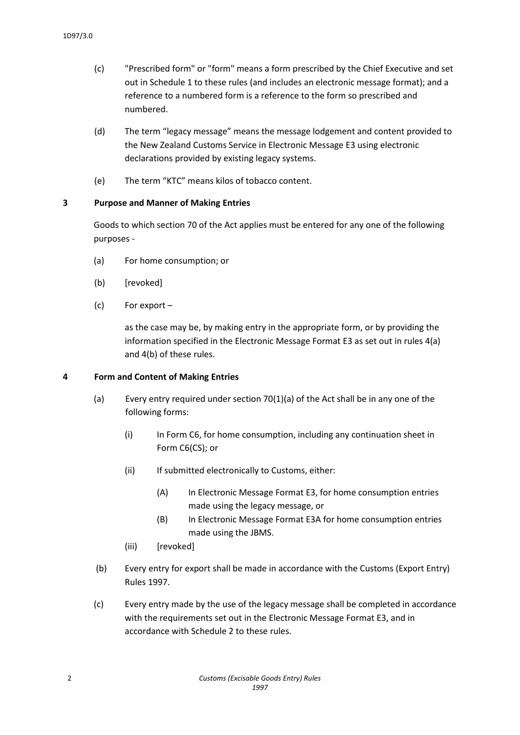- (c) "Prescribed form" or "form" means a form prescribed by the Chief Executive and set out in Schedule 1 to these rules (and includes an electronic message format); and a reference to a numbered form is a reference to the form so prescribed and numbered.
- (d) The term "legacy message" means the message lodgement and content provided to the New Zealand Customs Service in Electronic Message E3 using electronic declarations provided by existing legacy systems.
- (e) The term "KTC" means kilos of tobacco content.

#### **3 Purpose and Manner of Making Entries**

Goods to which section 70 of the Act applies must be entered for any one of the following purposes -

- (a) For home consumption; or
- (b) [revoked]
- (c) For export –

as the case may be, by making entry in the appropriate form, or by providing the information specified in the Electronic Message Format E3 as set out in rules 4(a) and 4(b) of these rules.

#### **4 Form and Content of Making Entries**

- (a) Every entry required under section 70(1)(a) of the Act shall be in any one of the following forms:
	- (i) In Form C6, for home consumption, including any continuation sheet in Form C6(CS); or
	- (ii) If submitted electronically to Customs, either:
		- (A) In Electronic Message Format E3, for home consumption entries made using the legacy message, or
		- (B) In Electronic Message Format E3A for home consumption entries made using the JBMS.
	- (iii) [revoked]
- (b) Every entry for export shall be made in accordance with the Customs (Export Entry) Rules 1997.
- (c) Every entry made by the use of the legacy message shall be completed in accordance with the requirements set out in the Electronic Message Format E3, and in accordance with Schedule 2 to these rules.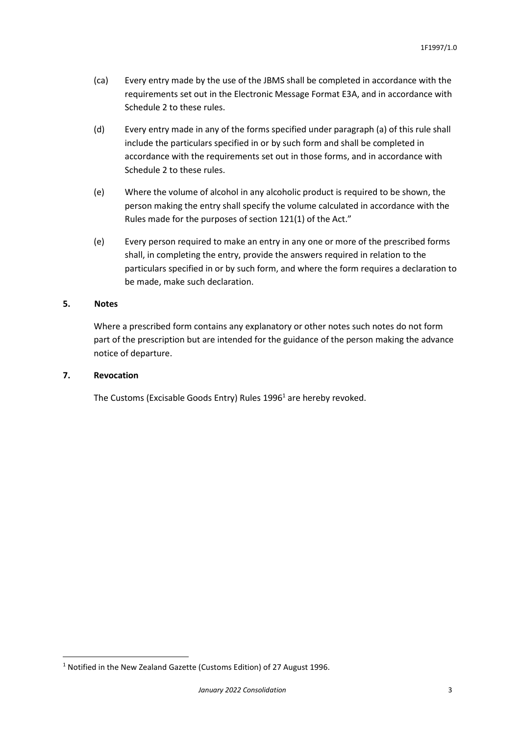- (ca) Every entry made by the use of the JBMS shall be completed in accordance with the requirements set out in the Electronic Message Format E3A, and in accordance with Schedule 2 to these rules.
- (d) Every entry made in any of the forms specified under paragraph (a) of this rule shall include the particulars specified in or by such form and shall be completed in accordance with the requirements set out in those forms, and in accordance with Schedule 2 to these rules.
- (e) Where the volume of alcohol in any alcoholic product is required to be shown, the person making the entry shall specify the volume calculated in accordance with the Rules made for the purposes of section 121(1) of the Act."
- (e) Every person required to make an entry in any one or more of the prescribed forms shall, in completing the entry, provide the answers required in relation to the particulars specified in or by such form, and where the form requires a declaration to be made, make such declaration.

#### **5. Notes**

Where a prescribed form contains any explanatory or other notes such notes do not form part of the prescription but are intended for the guidance of the person making the advance notice of departure.

#### **7. Revocation**

**.** 

The Customs (Excisable Goods Entry) Rules 1996<sup>1</sup> are hereby revoked.

<sup>&</sup>lt;sup>1</sup> Notified in the New Zealand Gazette (Customs Edition) of 27 August 1996.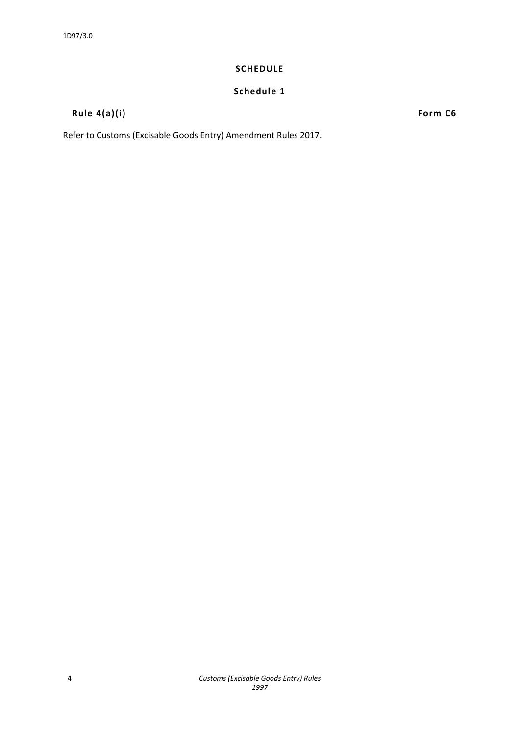#### **SCHEDULE**

### **Schedule 1**

# **Rule 4(a)(i) Form C6**

Refer to Customs (Excisable Goods Entry) Amendment Rules 2017.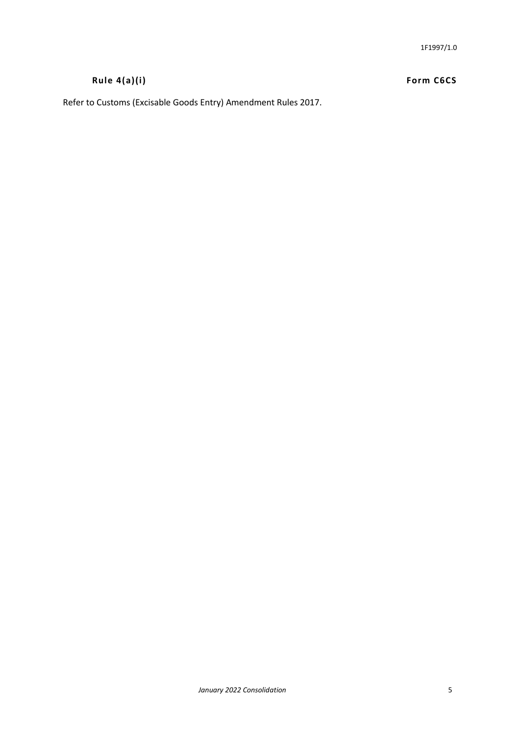# **Rule 4(a)(i) Form C6CS**

Refer to Customs (Excisable Goods Entry) Amendment Rules 2017.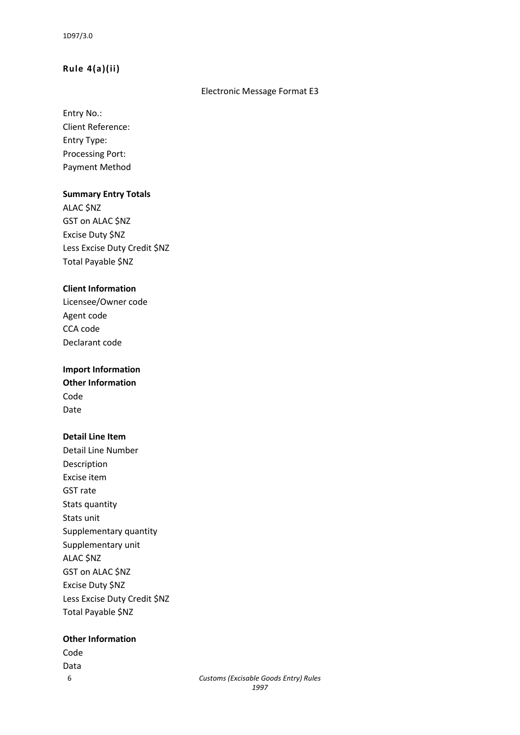#### **Rule 4(a)(ii)**

#### Electronic Message Format E3

Entry No.: Client Reference: Entry Type: Processing Port: Payment Method

#### **Summary Entry Totals**

ALAC \$NZ GST on ALAC \$NZ Excise Duty \$NZ Less Excise Duty Credit \$NZ Total Payable \$NZ

#### **Client Information**

Licensee/Owner code Agent code CCA code Declarant code

# **Import Information**

**Other Information** Code Date

#### **Detail Line Item**

Detail Line Number Description Excise item GST rate Stats quantity Stats unit Supplementary quantity Supplementary unit ALAC \$NZ GST on ALAC \$NZ Excise Duty \$NZ Less Excise Duty Credit \$NZ Total Payable \$NZ

#### **Other Information**

Code Data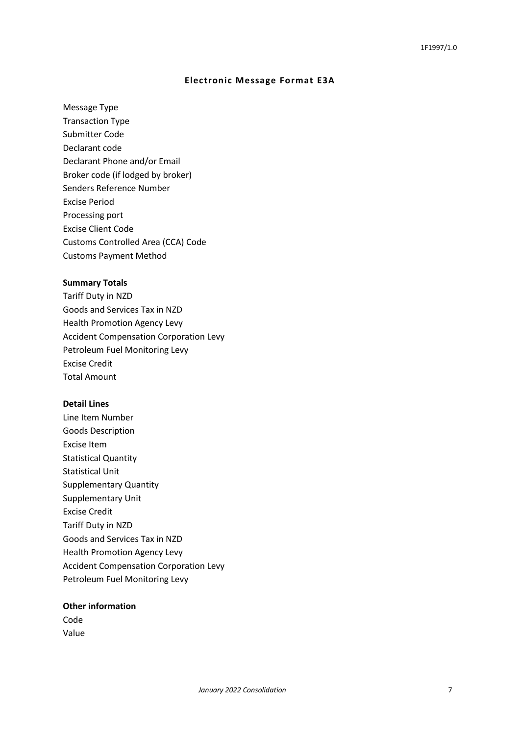#### **Electronic Message Format E3A**

Message Type

Transaction Type Submitter Code Declarant code Declarant Phone and/or Email Broker code (if lodged by broker) Senders Reference Number Excise Period Processing port Excise Client Code Customs Controlled Area (CCA) Code Customs Payment Method

#### **Summary Totals**

Tariff Duty in NZD Goods and Services Tax in NZD Health Promotion Agency Levy Accident Compensation Corporation Levy Petroleum Fuel Monitoring Levy Excise Credit Total Amount

#### **Detail Lines**

Line Item Number Goods Description Excise Item Statistical Quantity Statistical Unit Supplementary Quantity Supplementary Unit Excise Credit Tariff Duty in NZD Goods and Services Tax in NZD Health Promotion Agency Levy Accident Compensation Corporation Levy Petroleum Fuel Monitoring Levy

#### **Other information**

Code Value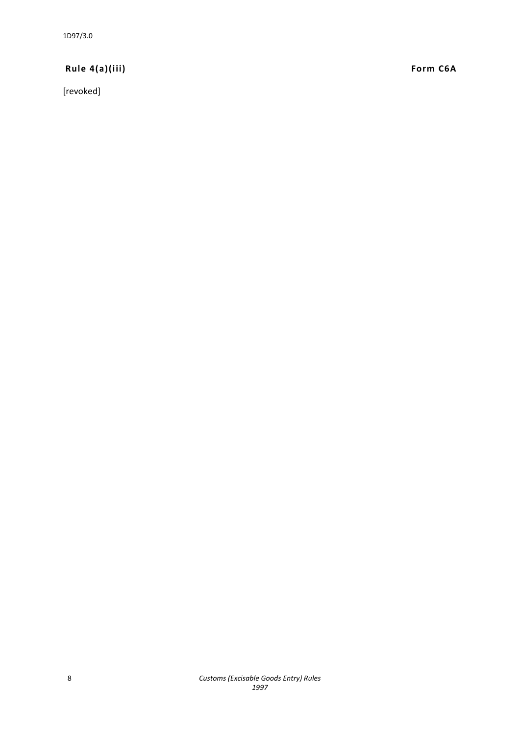1D97/3.0

# **Rule 4(a)(iii) Form C6A**

[revoked]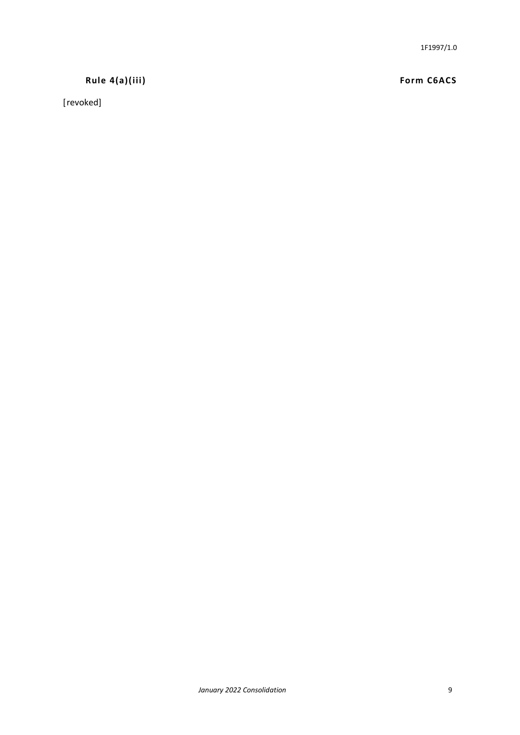# **Rule 4(a)(iii) Form C6ACS**

[revoked]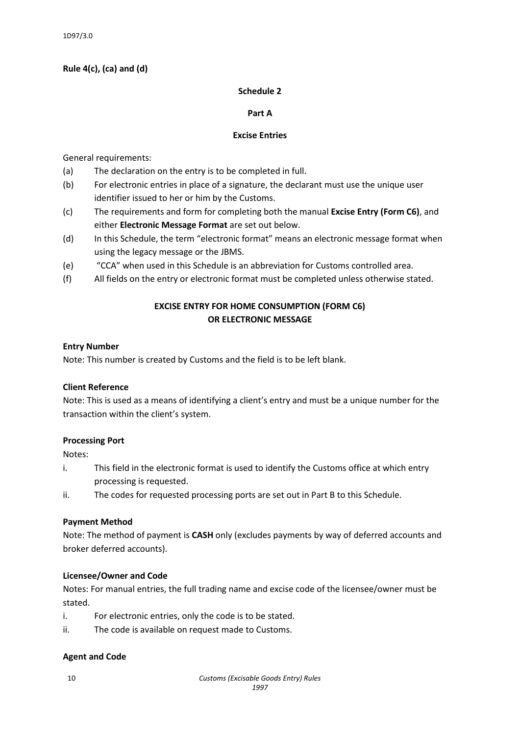#### **Rule 4(c), (ca) and (d)**

#### **Schedule 2**

#### **Part A**

#### **Excise Entries**

General requirements:

- (a) The declaration on the entry is to be completed in full.
- (b) For electronic entries in place of a signature, the declarant must use the unique user identifier issued to her or him by the Customs.
- (c) The requirements and form for completing both the manual **Excise Entry (Form C6)**, and either **Electronic Message Format** are set out below.
- (d) In this Schedule, the term "electronic format" means an electronic message format when using the legacy message or the JBMS.
- (e) "CCA" when used in this Schedule is an abbreviation for Customs controlled area.
- (f) All fields on the entry or electronic format must be completed unless otherwise stated.

# **EXCISE ENTRY FOR HOME CONSUMPTION (FORM C6) OR ELECTRONIC MESSAGE**

#### **Entry Number**

Note: This number is created by Customs and the field is to be left blank.

#### **Client Reference**

Note: This is used as a means of identifying a client's entry and must be a unique number for the transaction within the client's system.

#### **Processing Port**

Notes:

- i. This field in the electronic format is used to identify the Customs office at which entry processing is requested.
- ii. The codes for requested processing ports are set out in Part B to this Schedule.

#### **Payment Method**

Note: The method of payment is **CASH** only (excludes payments by way of deferred accounts and broker deferred accounts).

#### **Licensee/Owner and Code**

Notes: For manual entries, the full trading name and excise code of the licensee/owner must be stated.

- i. For electronic entries, only the code is to be stated.
- ii. The code is available on request made to Customs.

#### **Agent and Code**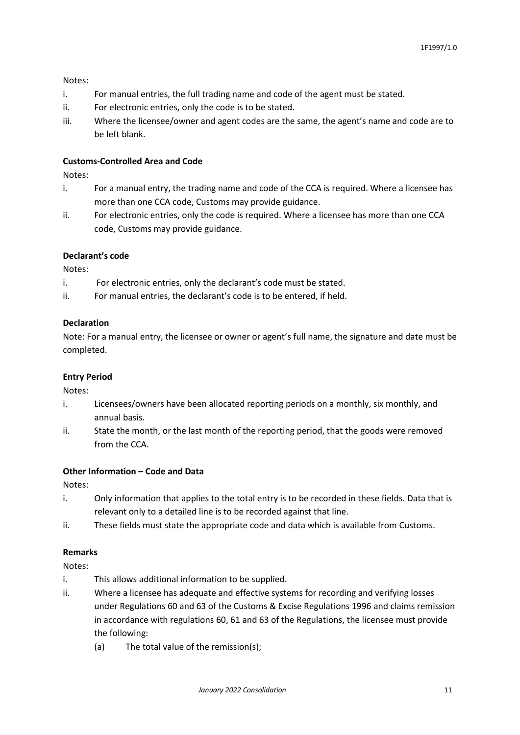Notes:

- i. For manual entries, the full trading name and code of the agent must be stated.
- ii. For electronic entries, only the code is to be stated.
- iii. Where the licensee/owner and agent codes are the same, the agent's name and code are to be left blank.

#### **Customs-Controlled Area and Code**

Notes:

- i. For a manual entry, the trading name and code of the CCA is required. Where a licensee has more than one CCA code, Customs may provide guidance.
- ii. For electronic entries, only the code is required. Where a licensee has more than one CCA code, Customs may provide guidance.

#### **Declarant's code**

Notes:

- i. For electronic entries, only the declarant's code must be stated.
- ii. For manual entries, the declarant's code is to be entered, if held.

#### **Declaration**

Note: For a manual entry, the licensee or owner or agent's full name, the signature and date must be completed.

#### **Entry Period**

Notes:

- i. Licensees/owners have been allocated reporting periods on a monthly, six monthly, and annual basis.
- ii. State the month, or the last month of the reporting period, that the goods were removed from the CCA.

#### **Other Information – Code and Data**

Notes:

- i. Only information that applies to the total entry is to be recorded in these fields. Data that is relevant only to a detailed line is to be recorded against that line.
- ii. These fields must state the appropriate code and data which is available from Customs.

# **Remarks**

Notes:

- i. This allows additional information to be supplied.
- ii. Where a licensee has adequate and effective systems for recording and verifying losses under Regulations 60 and 63 of the Customs & Excise Regulations 1996 and claims remission in accordance with regulations 60, 61 and 63 of the Regulations, the licensee must provide the following:
	- (a) The total value of the remission(s);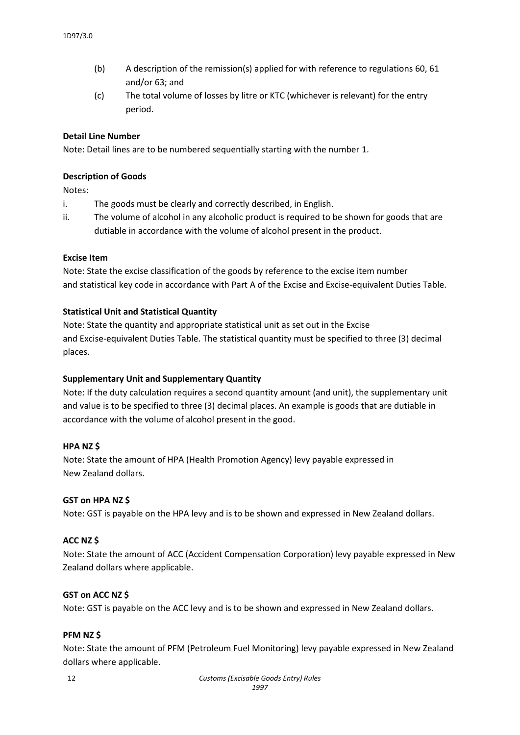- (b) A description of the remission(s) applied for with reference to regulations 60, 61 and/or 63; and
- (c) The total volume of losses by litre or KTC (whichever is relevant) for the entry period.

#### **Detail Line Number**

Note: Detail lines are to be numbered sequentially starting with the number 1.

#### **Description of Goods**

Notes:

- i. The goods must be clearly and correctly described, in English.
- ii. The volume of alcohol in any alcoholic product is required to be shown for goods that are dutiable in accordance with the volume of alcohol present in the product.

#### **Excise Item**

Note: State the excise classification of the goods by reference to the excise item number and statistical key code in accordance with Part A of the Excise and Excise-equivalent Duties Table.

#### **Statistical Unit and Statistical Quantity**

Note: State the quantity and appropriate statistical unit as set out in the Excise and Excise-equivalent Duties Table. The statistical quantity must be specified to three (3) decimal places.

#### **Supplementary Unit and Supplementary Quantity**

Note: If the duty calculation requires a second quantity amount (and unit), the supplementary unit and value is to be specified to three (3) decimal places. An example is goods that are dutiable in accordance with the volume of alcohol present in the good.

#### **HPA NZ \$**

Note: State the amount of HPA (Health Promotion Agency) levy payable expressed in New Zealand dollars.

#### **GST on HPA NZ \$**

Note: GST is payable on the HPA levy and is to be shown and expressed in New Zealand dollars.

#### **ACC NZ \$**

Note: State the amount of ACC (Accident Compensation Corporation) levy payable expressed in New Zealand dollars where applicable.

#### **GST on ACC NZ \$**

Note: GST is payable on the ACC levy and is to be shown and expressed in New Zealand dollars.

#### **PFM NZ \$**

Note: State the amount of PFM (Petroleum Fuel Monitoring) levy payable expressed in New Zealand dollars where applicable.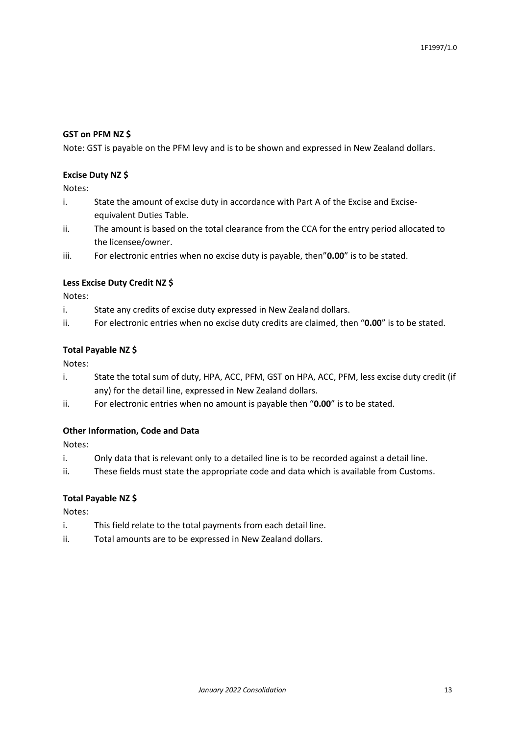#### **GST on PFM NZ \$**

Note: GST is payable on the PFM levy and is to be shown and expressed in New Zealand dollars.

#### **Excise Duty NZ \$**

Notes:

- i. State the amount of excise duty in accordance with Part A of the Excise and Exciseequivalent Duties Table.
- ii. The amount is based on the total clearance from the CCA for the entry period allocated to the licensee/owner.
- iii. For electronic entries when no excise duty is payable, then"**0.00**" is to be stated.

#### **Less Excise Duty Credit NZ \$**

Notes:

- i. State any credits of excise duty expressed in New Zealand dollars.
- ii. For electronic entries when no excise duty credits are claimed, then "**0.00**" is to be stated.

#### **Total Payable NZ \$**

Notes:

- i. State the total sum of duty, HPA, ACC, PFM, GST on HPA, ACC, PFM, less excise duty credit (if any) for the detail line, expressed in New Zealand dollars.
- ii. For electronic entries when no amount is payable then "**0.00**" is to be stated.

#### **Other Information, Code and Data**

Notes:

- i. Only data that is relevant only to a detailed line is to be recorded against a detail line.
- ii. These fields must state the appropriate code and data which is available from Customs.

#### **Total Payable NZ \$**

Notes:

- i. This field relate to the total payments from each detail line.
- ii. Total amounts are to be expressed in New Zealand dollars.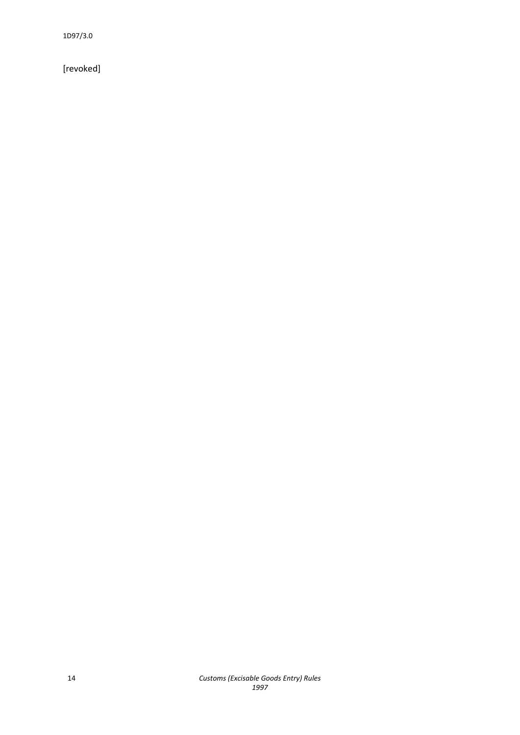1D97/3.0

[revoked]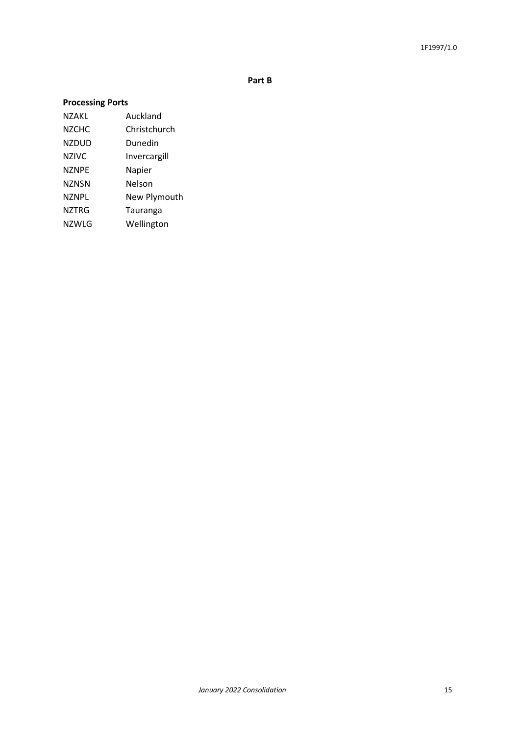**Part B**

# **Processing Ports**

NZAKL Auckland NZCHC Christchurch NZDUD Dunedin NZIVC Invercargill NZNPE Napier NZNSN Nelson NZNPL New Plymouth NZTRG Tauranga NZWLG Wellington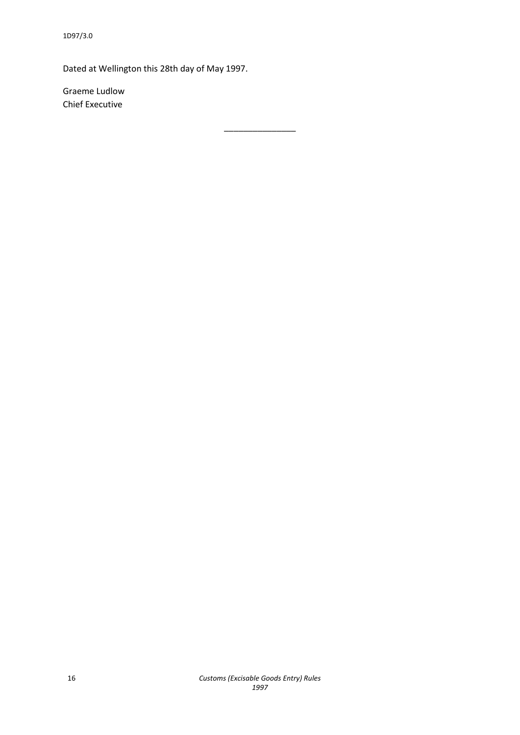Dated at Wellington this 28th day of May 1997.

Graeme Ludlow Chief Executive

\_\_\_\_\_\_\_\_\_\_\_\_\_\_\_